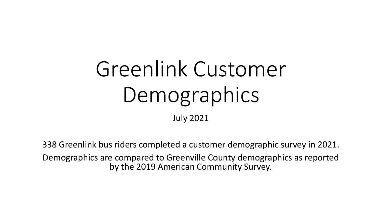# Greenlink Customer Demographics

July 2021

338 Greenlink bus riders completed a customer demographic survey in 2021. Demographics are compared to Greenville County demographics as reported by the 2019 American Community Survey.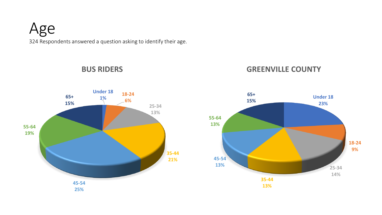

**BUS RIDERS**

**Under 18 1% 18-24 6% 25-34 13% 35-44 21% 45-54 25% 55-64 19% 65+ 15%**



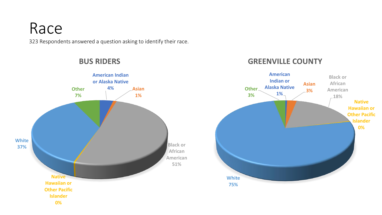### Race

323 Respondents answered a question asking to identify their race.



#### **BUS RIDERS**

#### **GREENVILLE COUNTY**

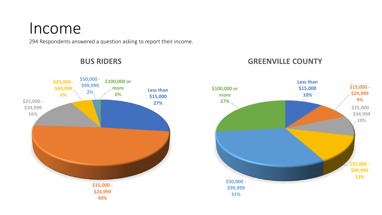### Income

294 Respondents answered a question asking to report their income.



#### **BUS RIDERS**

### **GREENVILLE COUNTY**

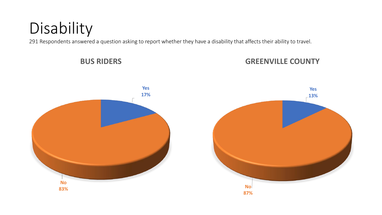# Disability

291 Respondents answered a question asking to report whether they have a disability that affects their ability to travel.

**BUS RIDERS**



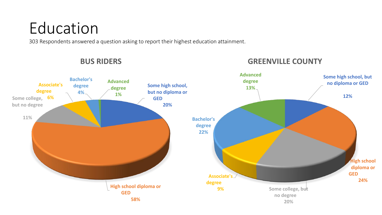# Education

303 Respondents answered a question asking to report their highest education attainment.



#### **BUS RIDERS**

### **GREENVILLE COUNTY**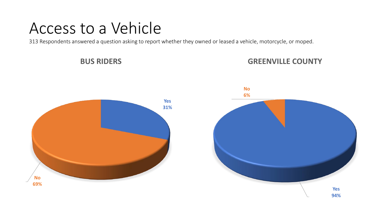### Access to a Vehicle

313 Respondents answered a question asking to report whether they owned or leased a vehicle, motorcycle, or moped.

**BUS RIDERS**



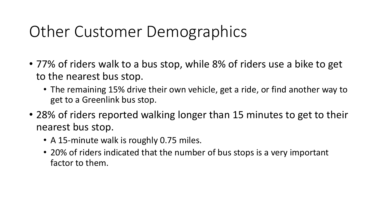## Other Customer Demographics

- 77% of riders walk to a bus stop, while 8% of riders use a bike to get to the nearest bus stop.
	- The remaining 15% drive their own vehicle, get a ride, or find another way to get to a Greenlink bus stop.
- 28% of riders reported walking longer than 15 minutes to get to their nearest bus stop.
	- A 15-minute walk is roughly 0.75 miles.
	- 20% of riders indicated that the number of bus stops is a very important factor to them.